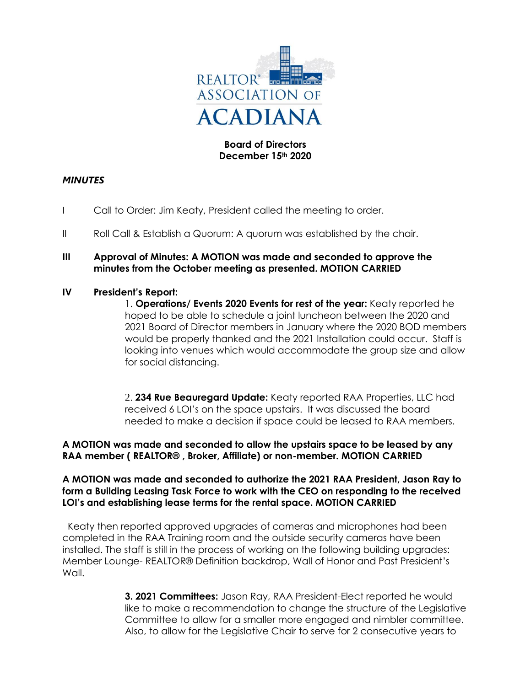

## **Board of Directors December 15th 2020**

# *MINUTES*

- I Call to Order: Jim Keaty, President called the meeting to order.
- II Roll Call & Establish a Quorum: A quorum was established by the chair.
- **III Approval of Minutes: A MOTION was made and seconded to approve the minutes from the October meeting as presented. MOTION CARRIED**

### **IV President's Report:**

1. **Operations/ Events 2020 Events for rest of the year:** Keaty reported he hoped to be able to schedule a joint luncheon between the 2020 and 2021 Board of Director members in January where the 2020 BOD members would be properly thanked and the 2021 Installation could occur. Staff is looking into venues which would accommodate the group size and allow for social distancing.

2. **234 Rue Beauregard Update:** Keaty reported RAA Properties, LLC had received 6 LOI's on the space upstairs. It was discussed the board needed to make a decision if space could be leased to RAA members.

### **A MOTION was made and seconded to allow the upstairs space to be leased by any RAA member ( REALTOR® , Broker, Affiliate) or non-member. MOTION CARRIED**

### **A MOTION was made and seconded to authorize the 2021 RAA President, Jason Ray to form a Building Leasing Task Force to work with the CEO on responding to the received LOI's and establishing lease terms for the rental space. MOTION CARRIED**

 Keaty then reported approved upgrades of cameras and microphones had been completed in the RAA Training room and the outside security cameras have been installed. The staff is still in the process of working on the following building upgrades: Member Lounge- REALTOR® Definition backdrop, Wall of Honor and Past President's Wall.

> **3. 2021 Committees:** Jason Ray, RAA President-Elect reported he would like to make a recommendation to change the structure of the Legislative Committee to allow for a smaller more engaged and nimbler committee. Also, to allow for the Legislative Chair to serve for 2 consecutive years to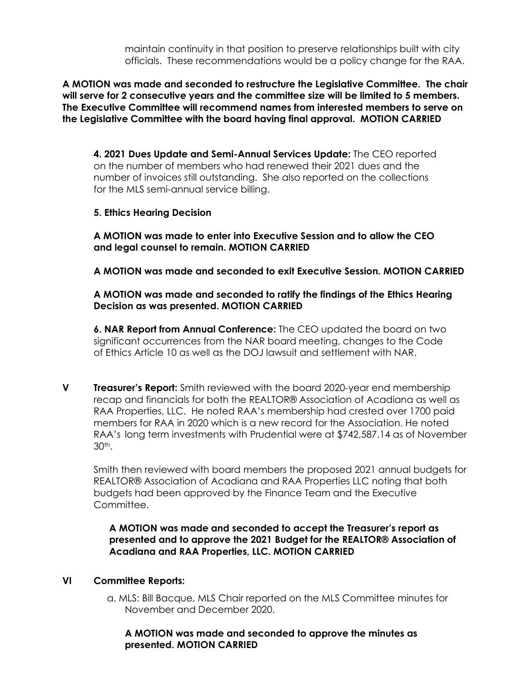maintain continuity in that position to preserve relationships built with city officials. These recommendations would be a policy change for the RAA.

**A MOTION was made and seconded to restructure the Legislative Committee. The chair will serve for 2 consecutive years and the committee size will be limited to 5 members. The Executive Committee will recommend names from interested members to serve on the Legislative Committee with the board having final approval. MOTION CARRIED**

**4. 2021 Dues Update and Semi-Annual Services Update:** The CEO reported on the number of members who had renewed their 2021 dues and the number of invoices still outstanding. She also reported on the collections for the MLS semi-annual service billing.

## **5. Ethics Hearing Decision**

**A MOTION was made to enter into Executive Session and to allow the CEO and legal counsel to remain. MOTION CARRIED**

**A MOTION was made and seconded to exit Executive Session. MOTION CARRIED**

## **A MOTION was made and seconded to ratify the findings of the Ethics Hearing Decision as was presented. MOTION CARRIED**

**6. NAR Report from Annual Conference:** The CEO updated the board on two significant occurrences from the NAR board meeting, changes to the Code of Ethics Article 10 as well as the DOJ lawsuit and settlement with NAR.

**V Treasurer's Report:** Smith reviewed with the board 2020-year end membership recap and financials for both the REALTOR® Association of Acadiana as well as RAA Properties, LLC. He noted RAA's membership had crested over 1700 paid members for RAA in 2020 which is a new record for the Association. He noted RAA's long term investments with Prudential were at \$742,587.14 as of November 30th.

Smith then reviewed with board members the proposed 2021 annual budgets for REALTOR® Association of Acadiana and RAA Properties LLC noting that both budgets had been approved by the Finance Team and the Executive Committee.

**A MOTION was made and seconded to accept the Treasurer's report as presented and to approve the 2021 Budget for the REALTOR® Association of Acadiana and RAA Properties, LLC. MOTION CARRIED**

### **VI Committee Reports:**

a. MLS: Bill Bacque, MLS Chair reported on the MLS Committee minutes for November and December 2020.

**A MOTION was made and seconded to approve the minutes as presented. MOTION CARRIED**